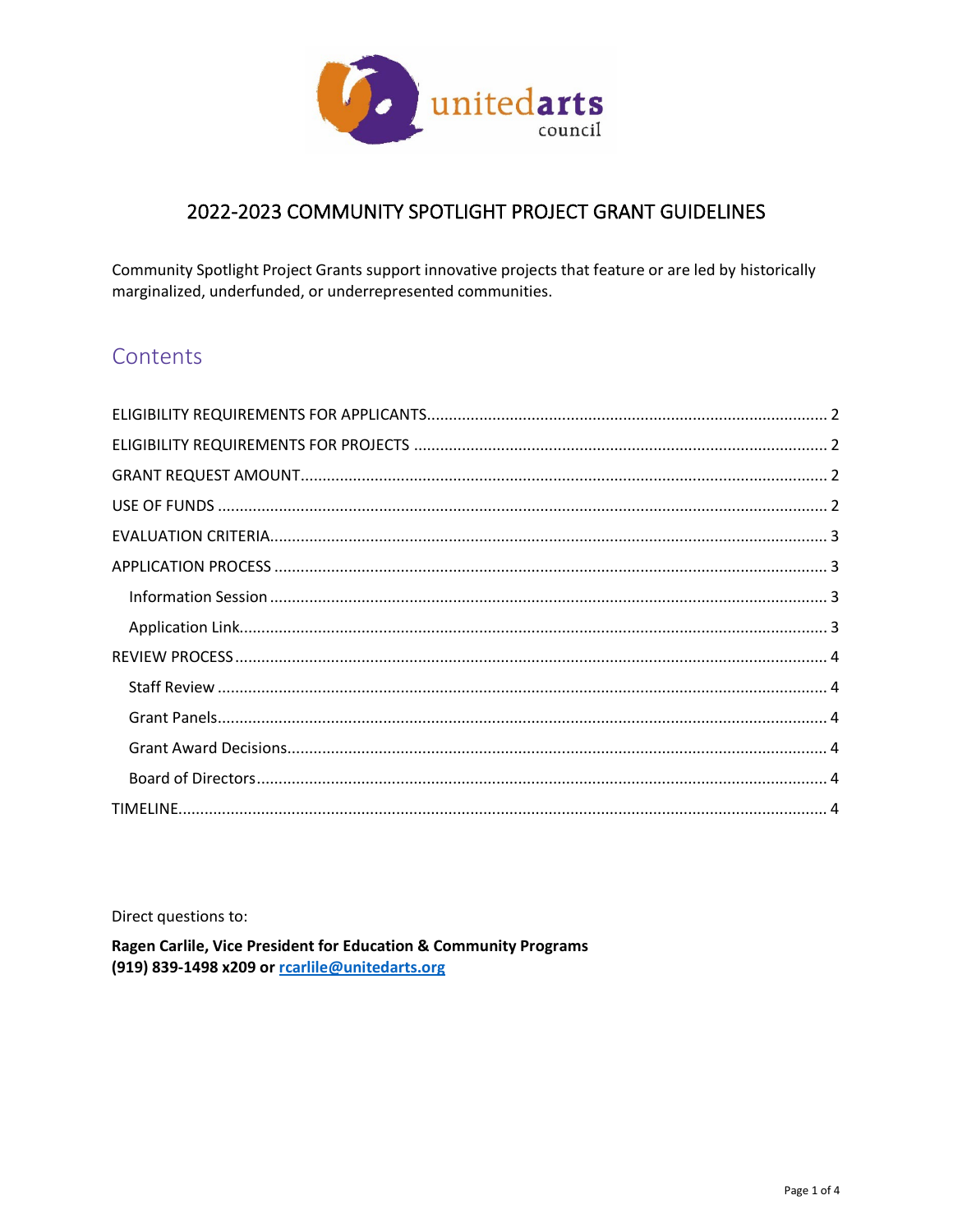

## 2022-2023 COMMUNITY SPOTLIGHT PROJECT GRANT GUIDELINES

Community Spotlight Project Grants support innovative projects that feature or are led by historically marginalized, underfunded, or underrepresented communities.

# Contents

Direct questions to:

Ragen Carlile, Vice President for Education & Community Programs (919) 839-1498 x209 or roarlile@unitedarts.org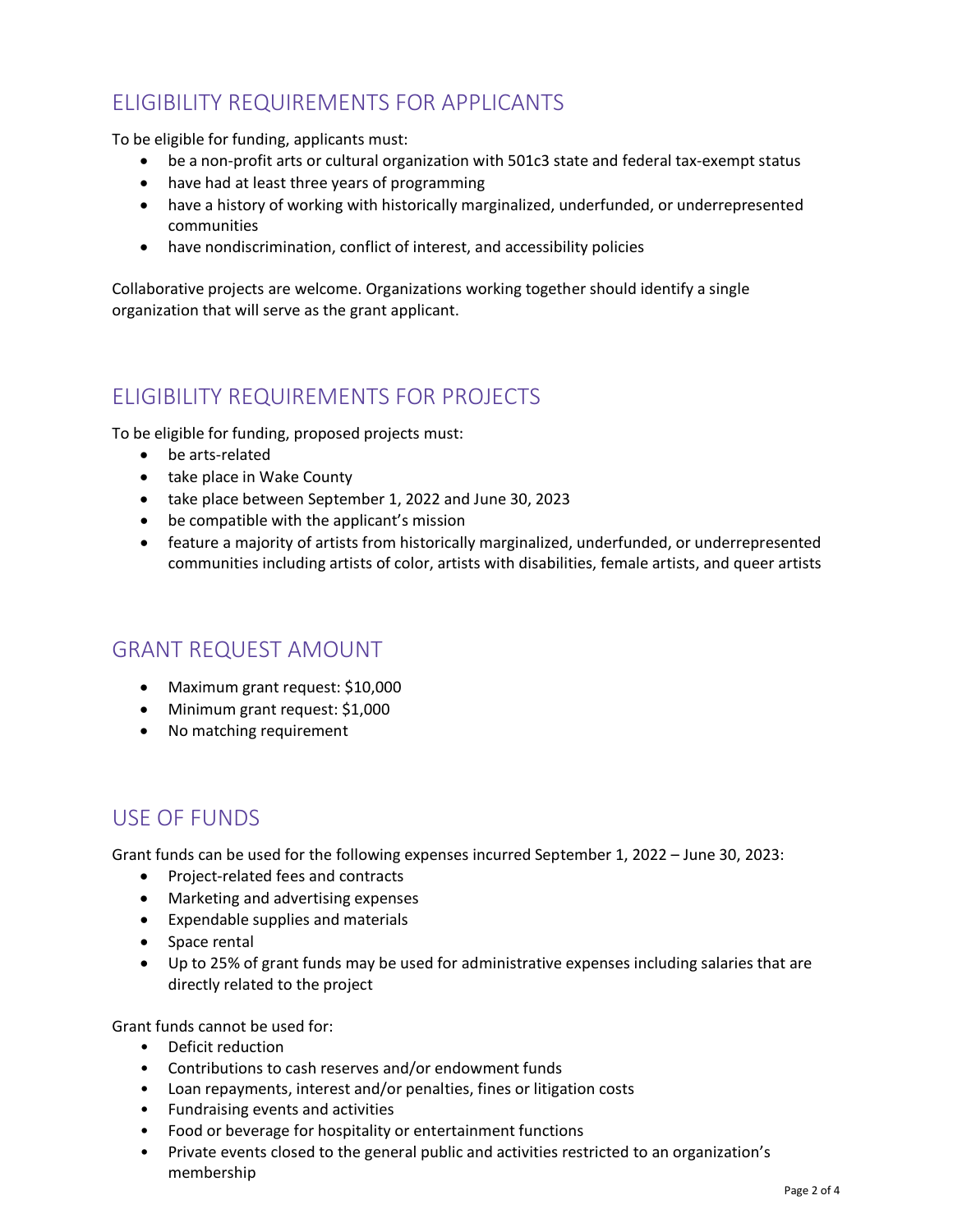# <span id="page-1-0"></span>ELIGIBILITY REQUIREMENTS FOR APPLICANTS

To be eligible for funding, applicants must:

- be a non-profit arts or cultural organization with 501c3 state and federal tax-exempt status
- have had at least three years of programming
- have a history of working with historically marginalized, underfunded, or underrepresented communities
- have nondiscrimination, conflict of interest, and accessibility policies

Collaborative projects are welcome. Organizations working together should identify a single organization that will serve as the grant applicant.

## <span id="page-1-1"></span>ELIGIBILITY REQUIREMENTS FOR PROJECTS

To be eligible for funding, proposed projects must:

- be arts-related
- take place in Wake County
- take place between September 1, 2022 and June 30, 2023
- be compatible with the applicant's mission
- feature a majority of artists from historically marginalized, underfunded, or underrepresented communities including artists of color, artists with disabilities, female artists, and queer artists

## <span id="page-1-2"></span>GRANT REQUEST AMOUNT

- Maximum grant request: \$10,000
- Minimum grant request: \$1,000
- No matching requirement

## <span id="page-1-3"></span>USE OF FUNDS

Grant funds can be used for the following expenses incurred September 1, 2022 – June 30, 2023:

- Project-related fees and contracts
- Marketing and advertising expenses
- Expendable supplies and materials
- Space rental
- Up to 25% of grant funds may be used for administrative expenses including salaries that are directly related to the project

Grant funds cannot be used for:

- Deficit reduction
- Contributions to cash reserves and/or endowment funds
- Loan repayments, interest and/or penalties, fines or litigation costs
- Fundraising events and activities
- Food or beverage for hospitality or entertainment functions
- Private events closed to the general public and activities restricted to an organization's membership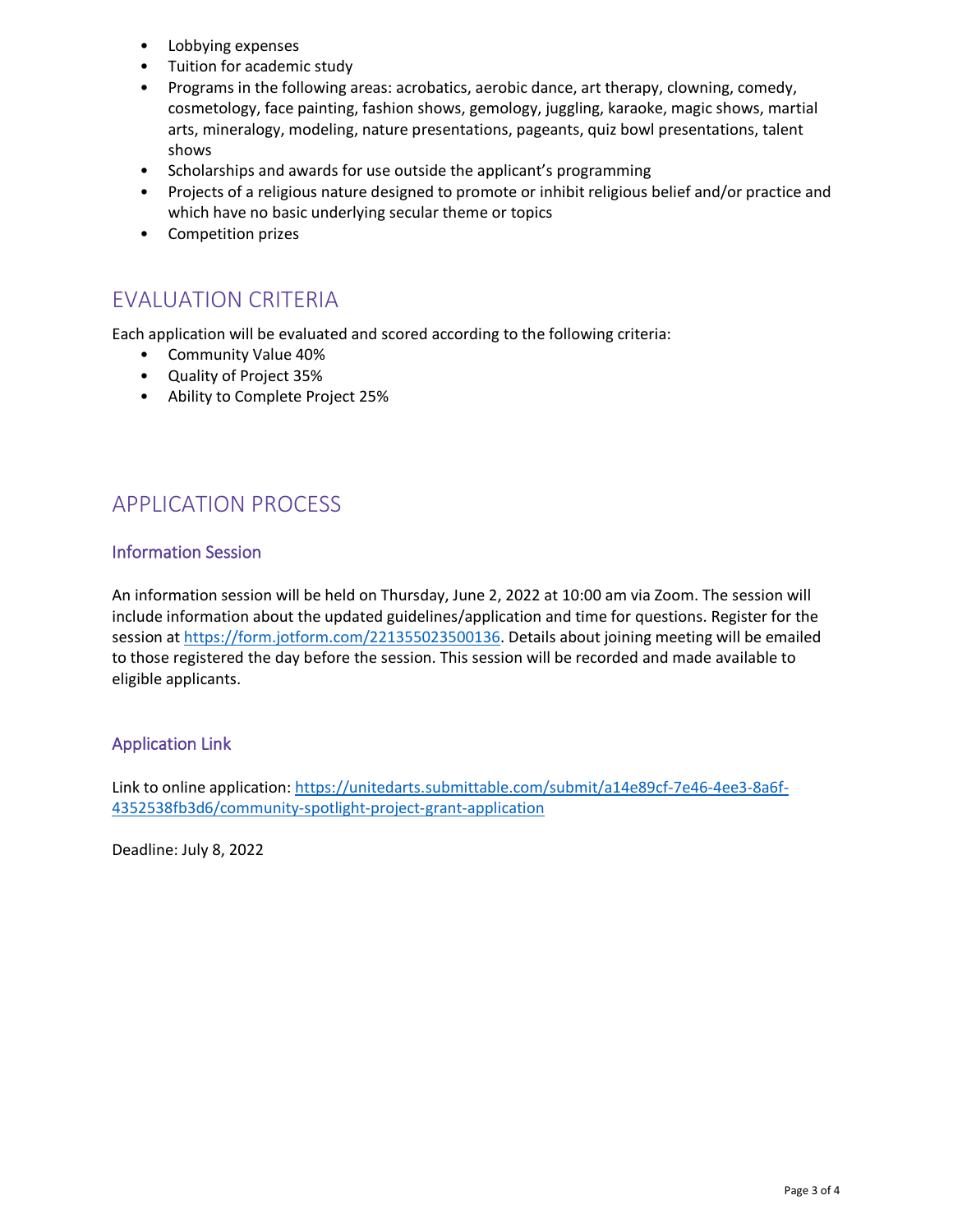- Lobbying expenses
- Tuition for academic study
- Programs in the following areas: acrobatics, aerobic dance, art therapy, clowning, comedy, cosmetology, face painting, fashion shows, gemology, juggling, karaoke, magic shows, martial arts, mineralogy, modeling, nature presentations, pageants, quiz bowl presentations, talent shows
- Scholarships and awards for use outside the applicant's programming
- Projects of a religious nature designed to promote or inhibit religious belief and/or practice and which have no basic underlying secular theme or topics
- Competition prizes

## <span id="page-2-0"></span>EVALUATION CRITERIA

Each application will be evaluated and scored according to the following criteria:

- Community Value 40%
- Quality of Project 35%
- Ability to Complete Project 25%

# <span id="page-2-1"></span>APPLICATION PROCESS

### <span id="page-2-2"></span>Information Session

An information session will be held on Thursday, June 2, 2022 at 10:00 am via Zoom. The session will include information about the updated guidelines/application and time for questions. Register for the session at [https://form.jotform.com/221355023500136.](https://form.jotform.com/221355023500136) Details about joining meeting will be emailed to those registered the day before the session. This session will be recorded and made available to eligible applicants.

### <span id="page-2-3"></span>Application Link

Link to online application: [https://unitedarts.submittable.com/submit/a14e89cf-7e46-4ee3-8a6f-](https://unitedarts.submittable.com/submit/a14e89cf-7e46-4ee3-8a6f-4352538fb3d6/community-spotlight-project-grant-application)[4352538fb3d6/community-spotlight-project-grant-application](https://unitedarts.submittable.com/submit/a14e89cf-7e46-4ee3-8a6f-4352538fb3d6/community-spotlight-project-grant-application)

Deadline: July 8, 2022